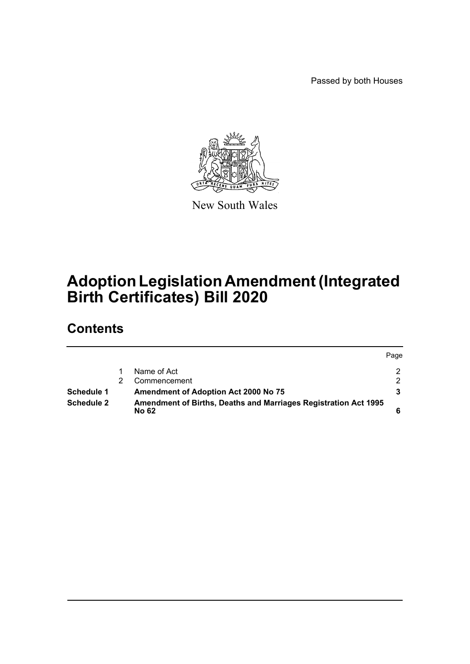Passed by both Houses



New South Wales

# **Adoption Legislation Amendment (Integrated Birth Certificates) Bill 2020**

# **Contents**

|            |                                                                                        | Page |
|------------|----------------------------------------------------------------------------------------|------|
|            | Name of Act                                                                            |      |
|            | Commencement                                                                           |      |
| Schedule 1 | <b>Amendment of Adoption Act 2000 No 75</b>                                            |      |
| Schedule 2 | <b>Amendment of Births, Deaths and Marriages Registration Act 1995</b><br><b>No 62</b> |      |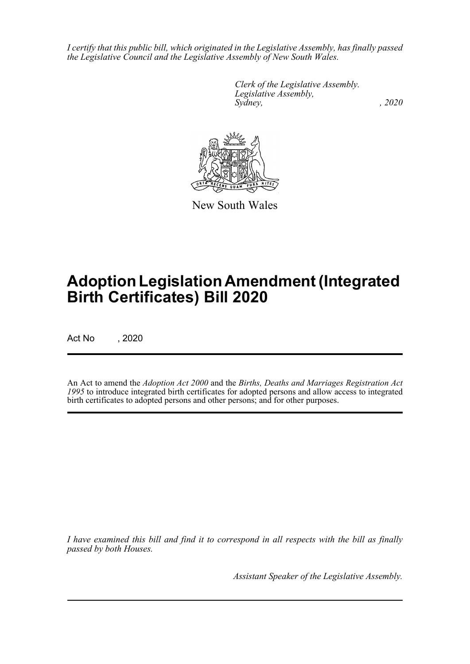*I certify that this public bill, which originated in the Legislative Assembly, has finally passed the Legislative Council and the Legislative Assembly of New South Wales.*

> *Clerk of the Legislative Assembly. Legislative Assembly, Sydney, , 2020*



New South Wales

# **Adoption Legislation Amendment (Integrated Birth Certificates) Bill 2020**

Act No , 2020

An Act to amend the *Adoption Act 2000* and the *Births, Deaths and Marriages Registration Act 1995* to introduce integrated birth certificates for adopted persons and allow access to integrated birth certificates to adopted persons and other persons; and for other purposes.

*I have examined this bill and find it to correspond in all respects with the bill as finally passed by both Houses.*

*Assistant Speaker of the Legislative Assembly.*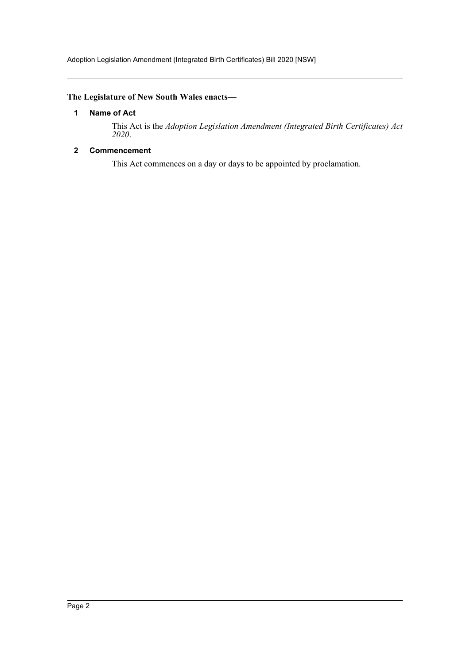# <span id="page-2-0"></span>**The Legislature of New South Wales enacts—**

## **1 Name of Act**

This Act is the *Adoption Legislation Amendment (Integrated Birth Certificates) Act 2020*.

# <span id="page-2-1"></span>**2 Commencement**

This Act commences on a day or days to be appointed by proclamation.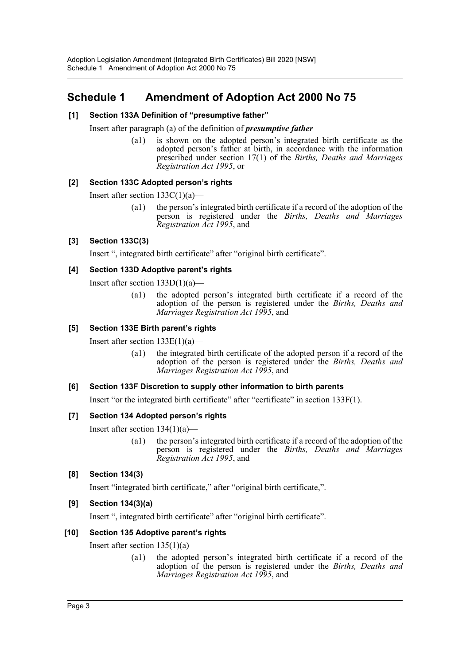# <span id="page-3-0"></span>**Schedule 1 Amendment of Adoption Act 2000 No 75**

# **[1] Section 133A Definition of "presumptive father"**

Insert after paragraph (a) of the definition of *presumptive father*—

(a1) is shown on the adopted person's integrated birth certificate as the adopted person's father at birth, in accordance with the information prescribed under section 17(1) of the *Births, Deaths and Marriages Registration Act 1995*, or

# **[2] Section 133C Adopted person's rights**

Insert after section 133C(1)(a)—

(a1) the person's integrated birth certificate if a record of the adoption of the person is registered under the *Births, Deaths and Marriages Registration Act 1995*, and

## **[3] Section 133C(3)**

Insert ", integrated birth certificate" after "original birth certificate".

## **[4] Section 133D Adoptive parent's rights**

Insert after section 133D(1)(a)—

(a1) the adopted person's integrated birth certificate if a record of the adoption of the person is registered under the *Births, Deaths and Marriages Registration Act 1995*, and

# **[5] Section 133E Birth parent's rights**

Insert after section  $133E(1)(a)$ —

(a1) the integrated birth certificate of the adopted person if a record of the adoption of the person is registered under the *Births, Deaths and Marriages Registration Act 1995*, and

#### **[6] Section 133F Discretion to supply other information to birth parents**

Insert "or the integrated birth certificate" after "certificate" in section 133F(1).

# **[7] Section 134 Adopted person's rights**

Insert after section  $134(1)(a)$ —

(a1) the person's integrated birth certificate if a record of the adoption of the person is registered under the *Births, Deaths and Marriages Registration Act 1995*, and

# **[8] Section 134(3)**

Insert "integrated birth certificate," after "original birth certificate,".

# **[9] Section 134(3)(a)**

Insert ", integrated birth certificate" after "original birth certificate".

#### **[10] Section 135 Adoptive parent's rights**

Insert after section  $135(1)(a)$ —

(a1) the adopted person's integrated birth certificate if a record of the adoption of the person is registered under the *Births, Deaths and Marriages Registration Act 1995*, and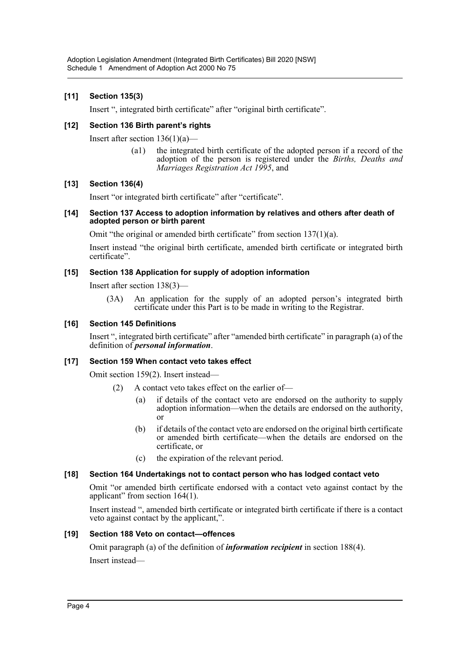# **[11] Section 135(3)**

Insert ", integrated birth certificate" after "original birth certificate".

# **[12] Section 136 Birth parent's rights**

Insert after section  $136(1)(a)$ —

(a1) the integrated birth certificate of the adopted person if a record of the adoption of the person is registered under the *Births, Deaths and Marriages Registration Act 1995*, and

## **[13] Section 136(4)**

Insert "or integrated birth certificate" after "certificate".

#### **[14] Section 137 Access to adoption information by relatives and others after death of adopted person or birth parent**

Omit "the original or amended birth certificate" from section  $137(1)(a)$ .

Insert instead "the original birth certificate, amended birth certificate or integrated birth certificate".

## **[15] Section 138 Application for supply of adoption information**

Insert after section 138(3)—

(3A) An application for the supply of an adopted person's integrated birth certificate under this Part is to be made in writing to the Registrar.

## **[16] Section 145 Definitions**

Insert ", integrated birth certificate" after "amended birth certificate" in paragraph (a) of the definition of *personal information*.

#### **[17] Section 159 When contact veto takes effect**

Omit section 159(2). Insert instead—

- (2) A contact veto takes effect on the earlier of—
	- (a) if details of the contact veto are endorsed on the authority to supply adoption information—when the details are endorsed on the authority, or
	- (b) if details of the contact veto are endorsed on the original birth certificate or amended birth certificate—when the details are endorsed on the certificate, or
	- (c) the expiration of the relevant period.

#### **[18] Section 164 Undertakings not to contact person who has lodged contact veto**

Omit "or amended birth certificate endorsed with a contact veto against contact by the applicant" from section 164(1).

Insert instead ", amended birth certificate or integrated birth certificate if there is a contact veto against contact by the applicant,".

#### **[19] Section 188 Veto on contact—offences**

Omit paragraph (a) of the definition of *information recipient* in section 188(4).

Insert instead—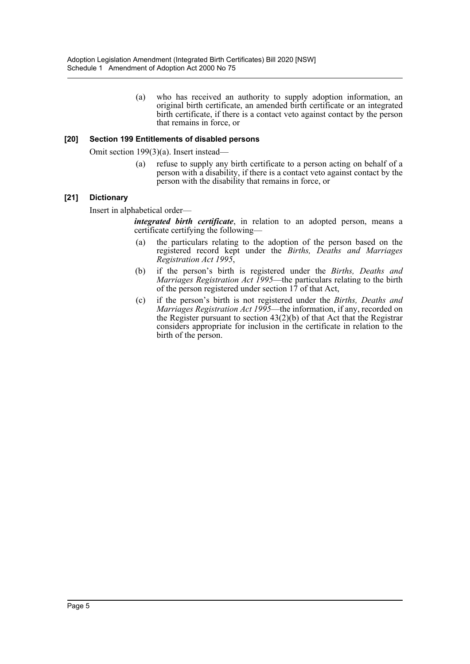(a) who has received an authority to supply adoption information, an original birth certificate, an amended birth certificate or an integrated birth certificate, if there is a contact veto against contact by the person that remains in force, or

#### **[20] Section 199 Entitlements of disabled persons**

Omit section 199(3)(a). Insert instead—

(a) refuse to supply any birth certificate to a person acting on behalf of a person with a disability, if there is a contact veto against contact by the person with the disability that remains in force, or

#### **[21] Dictionary**

Insert in alphabetical order—

*integrated birth certificate*, in relation to an adopted person, means a certificate certifying the following—

- (a) the particulars relating to the adoption of the person based on the registered record kept under the *Births, Deaths and Marriages Registration Act 1995*,
- (b) if the person's birth is registered under the *Births, Deaths and Marriages Registration Act 1995*—the particulars relating to the birth of the person registered under section 17 of that Act,
- (c) if the person's birth is not registered under the *Births, Deaths and Marriages Registration Act 1995*—the information, if any, recorded on the Register pursuant to section  $43(2)(b)$  of that Act that the Registrar considers appropriate for inclusion in the certificate in relation to the birth of the person.